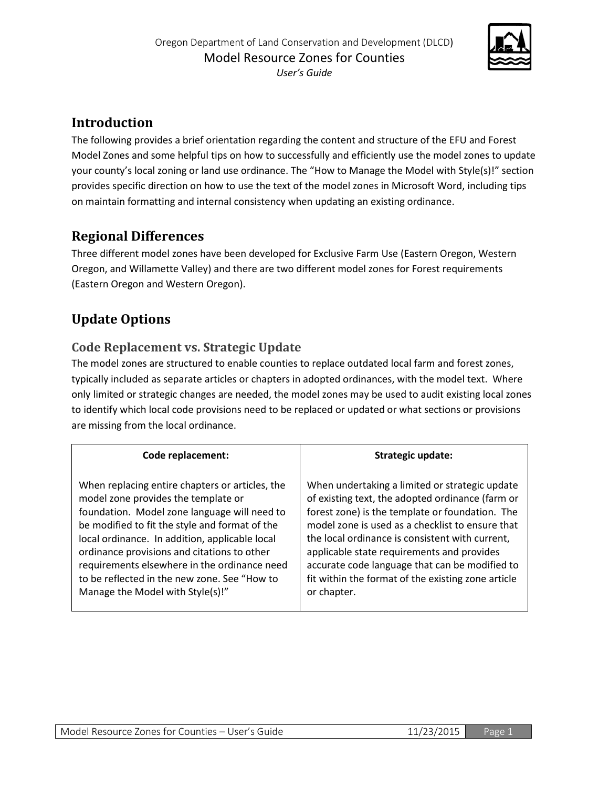

# **Introduction**

The following provides a brief orientation regarding the content and structure of the EFU and Forest Model Zones and some helpful tips on how to successfully and efficiently use the model zones to update your county's local zoning or land use ordinance. The "How to Manage the Model with Style(s)!" section provides specific direction on how to use the text of the model zones in Microsoft Word, including tips on maintain formatting and internal consistency when updating an existing ordinance.

## **Regional Differences**

Three different model zones have been developed for Exclusive Farm Use (Eastern Oregon, Western Oregon, and Willamette Valley) and there are two different model zones for Forest requirements (Eastern Oregon and Western Oregon).

# **Update Options**

## **Code Replacement vs. Strategic Update**

The model zones are structured to enable counties to replace outdated local farm and forest zones, typically included as separate articles or chapters in adopted ordinances, with the model text. Where only limited or strategic changes are needed, the model zones may be used to audit existing local zones to identify which local code provisions need to be replaced or updated or what sections or provisions are missing from the local ordinance.

| <b>Code replacement:</b>                        | Strategic update:                                  |
|-------------------------------------------------|----------------------------------------------------|
| When replacing entire chapters or articles, the | When undertaking a limited or strategic update     |
| model zone provides the template or             | of existing text, the adopted ordinance (farm or   |
| foundation. Model zone language will need to    | forest zone) is the template or foundation. The    |
| be modified to fit the style and format of the  | model zone is used as a checklist to ensure that   |
| local ordinance. In addition, applicable local  | the local ordinance is consistent with current,    |
| ordinance provisions and citations to other     | applicable state requirements and provides         |
| requirements elsewhere in the ordinance need    | accurate code language that can be modified to     |
| to be reflected in the new zone. See "How to    | fit within the format of the existing zone article |
| Manage the Model with Style(s)!"                | or chapter.                                        |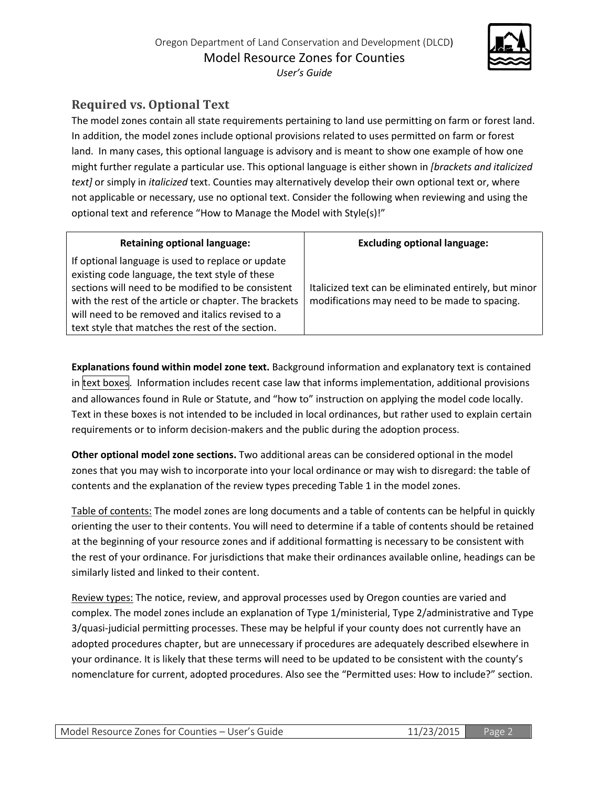

# **Required vs. Optional Text**

The model zones contain all state requirements pertaining to land use permitting on farm or forest land. In addition, the model zones include optional provisions related to uses permitted on farm or forest land. In many cases, this optional language is advisory and is meant to show one example of how one might further regulate a particular use. This optional language is either shown in *[brackets and italicized text]* or simply in *italicized* text. Counties may alternatively develop their own optional text or, where not applicable or necessary, use no optional text. Consider the following when reviewing and using the optional text and reference "How to Manage the Model with Style(s)!"

| <b>Retaining optional language:</b>                                                                                                                                                                                                                                                                                         | <b>Excluding optional language:</b>                                                                    |
|-----------------------------------------------------------------------------------------------------------------------------------------------------------------------------------------------------------------------------------------------------------------------------------------------------------------------------|--------------------------------------------------------------------------------------------------------|
| If optional language is used to replace or update<br>existing code language, the text style of these<br>sections will need to be modified to be consistent<br>with the rest of the article or chapter. The brackets<br>will need to be removed and italics revised to a<br>text style that matches the rest of the section. | Italicized text can be eliminated entirely, but minor<br>modifications may need to be made to spacing. |

**Explanations found within model zone text.** Background information and explanatory text is contained in text boxes. Information includes recent case law that informs implementation, additional provisions and allowances found in Rule or Statute, and "how to" instruction on applying the model code locally. Text in these boxes is not intended to be included in local ordinances, but rather used to explain certain requirements or to inform decision-makers and the public during the adoption process.

**Other optional model zone sections.** Two additional areas can be considered optional in the model zones that you may wish to incorporate into your local ordinance or may wish to disregard: the table of contents and the explanation of the review types preceding Table 1 in the model zones.

Table of contents: The model zones are long documents and a table of contents can be helpful in quickly orienting the user to their contents. You will need to determine if a table of contents should be retained at the beginning of your resource zones and if additional formatting is necessary to be consistent with the rest of your ordinance. For jurisdictions that make their ordinances available online, headings can be similarly listed and linked to their content.

Review types: The notice, review, and approval processes used by Oregon counties are varied and complex. The model zones include an explanation of Type 1/ministerial, Type 2/administrative and Type 3/quasi-judicial permitting processes. These may be helpful if your county does not currently have an adopted procedures chapter, but are unnecessary if procedures are adequately described elsewhere in your ordinance. It is likely that these terms will need to be updated to be consistent with the county's nomenclature for current, adopted procedures. Also see the "Permitted uses: How to include?" section.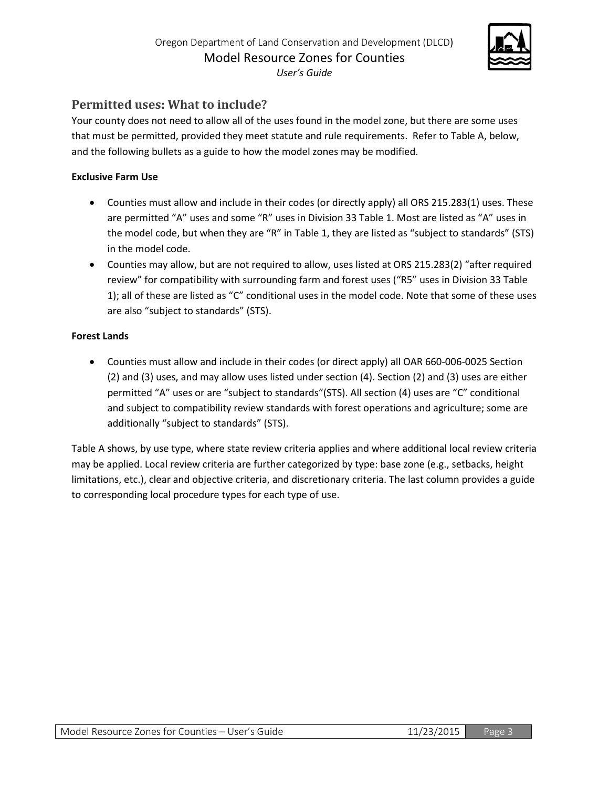

## **Permitted uses: What to include?**

Your county does not need to allow all of the uses found in the model zone, but there are some uses that must be permitted, provided they meet statute and rule requirements. Refer to Table A, below, and the following bullets as a guide to how the model zones may be modified.

### **Exclusive Farm Use**

- Counties must allow and include in their codes (or directly apply) all ORS 215.283(1) uses. These are permitted "A" uses and some "R" uses in Division 33 Table 1. Most are listed as "A" uses in the model code, but when they are "R" in Table 1, they are listed as "subject to standards" (STS) in the model code.
- Counties may allow, but are not required to allow, uses listed at ORS 215.283(2) "after required review" for compatibility with surrounding farm and forest uses ("R5" uses in Division 33 Table 1); all of these are listed as "C" conditional uses in the model code. Note that some of these uses are also "subject to standards" (STS).

### **Forest Lands**

• Counties must allow and include in their codes (or direct apply) all OAR 660-006-0025 Section (2) and (3) uses, and may allow uses listed under section (4). Section (2) and (3) uses are either permitted "A" uses or are "subject to standards"(STS). All section (4) uses are "C" conditional and subject to compatibility review standards with forest operations and agriculture; some are additionally "subject to standards" (STS).

Table A shows, by use type, where state review criteria applies and where additional local review criteria may be applied. Local review criteria are further categorized by type: base zone (e.g., setbacks, height limitations, etc.), clear and objective criteria, and discretionary criteria. The last column provides a guide to corresponding local procedure types for each type of use.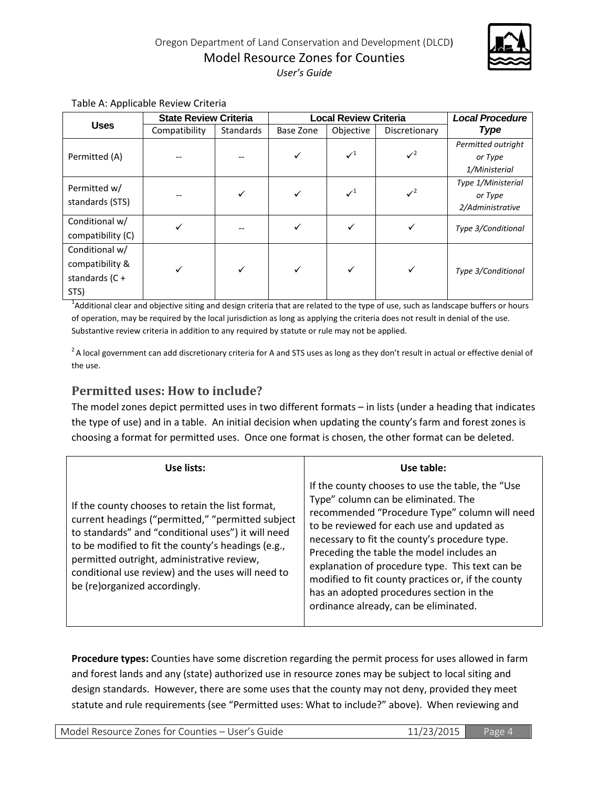

|                                                               | <b>State Review Criteria</b> |                  | <b>Local Review Criteria</b> |                 |               | <b>Local Procedure</b>                            |
|---------------------------------------------------------------|------------------------------|------------------|------------------------------|-----------------|---------------|---------------------------------------------------|
| <b>Uses</b>                                                   | Compatibility                | <b>Standards</b> | Base Zone                    | Objective       | Discretionary | <b>Type</b>                                       |
| Permitted (A)                                                 |                              |                  |                              | $\mathcal{N}^1$ | $\sqrt{2}$    | Permitted outright<br>or Type<br>1/Ministerial    |
| Permitted w/<br>standards (STS)                               |                              | ✓                | ✓                            | $\checkmark^1$  | $\sqrt{2}$    | Type 1/Ministerial<br>or Type<br>2/Administrative |
| Conditional w/<br>compatibility (C)                           | ✓                            |                  |                              |                 | ✓             | Type 3/Conditional                                |
| Conditional w/<br>compatibility &<br>standards $(C +$<br>STS) |                              |                  | $\checkmark$                 | ✓               | ✓             | Type 3/Conditional                                |

#### Table A: Applicable Review Criteria

<sup>1</sup>Additional clear and objective siting and design criteria that are related to the type of use, such as landscape buffers or hours of operation, may be required by the local jurisdiction as long as applying the criteria does not result in denial of the use. Substantive review criteria in addition to any required by statute or rule may not be applied.

 $2A$  local government can add discretionary criteria for A and STS uses as long as they don't result in actual or effective denial of the use.

### **Permitted uses: How to include?**

The model zones depict permitted uses in two different formats – in lists (under a heading that indicates the type of use) and in a table. An initial decision when updating the county's farm and forest zones is choosing a format for permitted uses. Once one format is chosen, the other format can be deleted.

| Use lists:                                                                                                                                                                                                                                                                                                                                            | Use table:                                                                                                                                                                                                                                                                                                                                                                                                                                                                         |
|-------------------------------------------------------------------------------------------------------------------------------------------------------------------------------------------------------------------------------------------------------------------------------------------------------------------------------------------------------|------------------------------------------------------------------------------------------------------------------------------------------------------------------------------------------------------------------------------------------------------------------------------------------------------------------------------------------------------------------------------------------------------------------------------------------------------------------------------------|
| If the county chooses to retain the list format,<br>current headings ("permitted," "permitted subject<br>to standards" and "conditional uses") it will need<br>to be modified to fit the county's headings (e.g.,<br>permitted outright, administrative review,<br>conditional use review) and the uses will need to<br>be (re)organized accordingly. | If the county chooses to use the table, the "Use<br>Type" column can be eliminated. The<br>recommended "Procedure Type" column will need<br>to be reviewed for each use and updated as<br>necessary to fit the county's procedure type.<br>Preceding the table the model includes an<br>explanation of procedure type. This text can be<br>modified to fit county practices or, if the county<br>has an adopted procedures section in the<br>ordinance already, can be eliminated. |

**Procedure types:** Counties have some discretion regarding the permit process for uses allowed in farm and forest lands and any (state) authorized use in resource zones may be subject to local siting and design standards. However, there are some uses that the county may not deny, provided they meet statute and rule requirements (see "Permitted uses: What to include?" above). When reviewing and

Model Resource Zones for Counties – User's Guide 11/23/2015 Page 4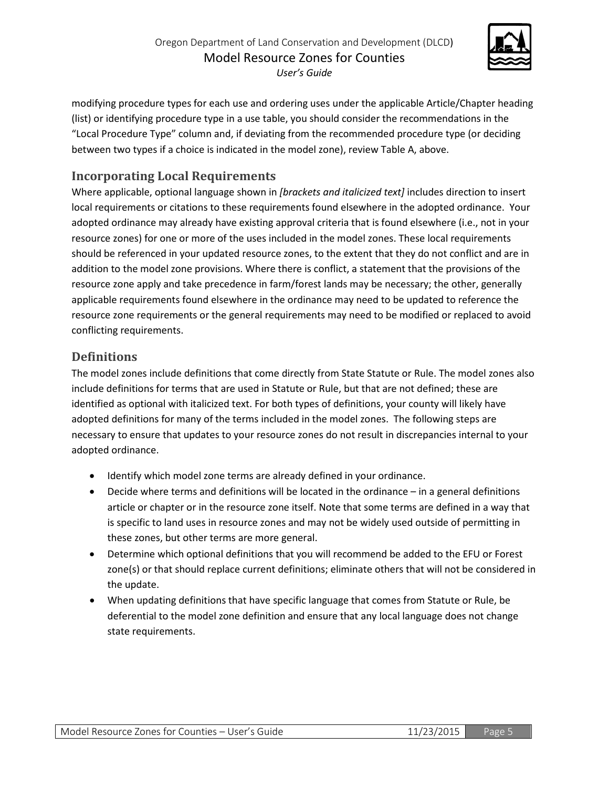

modifying procedure types for each use and ordering uses under the applicable Article/Chapter heading (list) or identifying procedure type in a use table, you should consider the recommendations in the "Local Procedure Type" column and, if deviating from the recommended procedure type (or deciding between two types if a choice is indicated in the model zone), review Table A, above.

## **Incorporating Local Requirements**

Where applicable, optional language shown in *[brackets and italicized text]* includes direction to insert local requirements or citations to these requirements found elsewhere in the adopted ordinance. Your adopted ordinance may already have existing approval criteria that is found elsewhere (i.e., not in your resource zones) for one or more of the uses included in the model zones. These local requirements should be referenced in your updated resource zones, to the extent that they do not conflict and are in addition to the model zone provisions. Where there is conflict, a statement that the provisions of the resource zone apply and take precedence in farm/forest lands may be necessary; the other, generally applicable requirements found elsewhere in the ordinance may need to be updated to reference the resource zone requirements or the general requirements may need to be modified or replaced to avoid conflicting requirements.

## **Definitions**

The model zones include definitions that come directly from State Statute or Rule. The model zones also include definitions for terms that are used in Statute or Rule, but that are not defined; these are identified as optional with italicized text. For both types of definitions, your county will likely have adopted definitions for many of the terms included in the model zones. The following steps are necessary to ensure that updates to your resource zones do not result in discrepancies internal to your adopted ordinance.

- Identify which model zone terms are already defined in your ordinance.
- Decide where terms and definitions will be located in the ordinance in a general definitions article or chapter or in the resource zone itself. Note that some terms are defined in a way that is specific to land uses in resource zones and may not be widely used outside of permitting in these zones, but other terms are more general.
- Determine which optional definitions that you will recommend be added to the EFU or Forest zone(s) or that should replace current definitions; eliminate others that will not be considered in the update.
- When updating definitions that have specific language that comes from Statute or Rule, be deferential to the model zone definition and ensure that any local language does not change state requirements.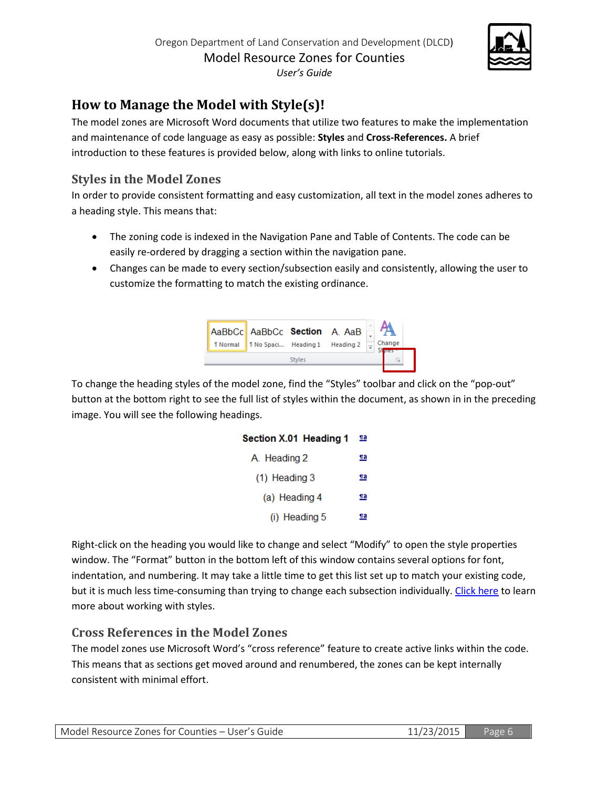

# **How to Manage the Model with Style(s)!**

The model zones are Microsoft Word documents that utilize two features to make the implementation and maintenance of code language as easy as possible: **Styles** and **Cross-References.** A brief introduction to these features is provided below, along with links to online tutorials.

### **Styles in the Model Zones**

In order to provide consistent formatting and easy customization, all text in the model zones adheres to a heading style. This means that:

- The zoning code is indexed in the Navigation Pane and Table of Contents. The code can be easily re-ordered by dragging a section within the navigation pane.
- Changes can be made to every section/subsection easily and consistently, allowing the user to customize the formatting to match the existing ordinance.



To change the heading styles of the model zone, find the "Styles" toolbar and click on the "pop-out" button at the bottom right to see the full list of styles within the document, as shown in in the preceding image. You will see the following headings.

| Section X.01 Heading 1 | <u>па</u> |
|------------------------|-----------|
| A. Heading 2           | <u>па</u> |
| $(1)$ Heading 3        | <u>па</u> |
| (a) Heading 4          | <u>па</u> |
| (i) Heading 5          | Па        |

Right-click on the heading you would like to change and select "Modify" to open the style properties window. The "Format" button in the bottom left of this window contains several options for font, indentation, and numbering. It may take a little time to get this list set up to match your existing code, but it is much less time-consuming than trying to change each subsection individually[. Click here](https://support.office.com/en-nz/article/Style-basics-in-Word-d382f84d-5c38-4444-98a5-9cbb6ede1ba4) to learn more about working with styles.

## **Cross References in the Model Zones**

The model zones use Microsoft Word's "cross reference" feature to create active links within the code. This means that as sections get moved around and renumbered, the zones can be kept internally consistent with minimal effort.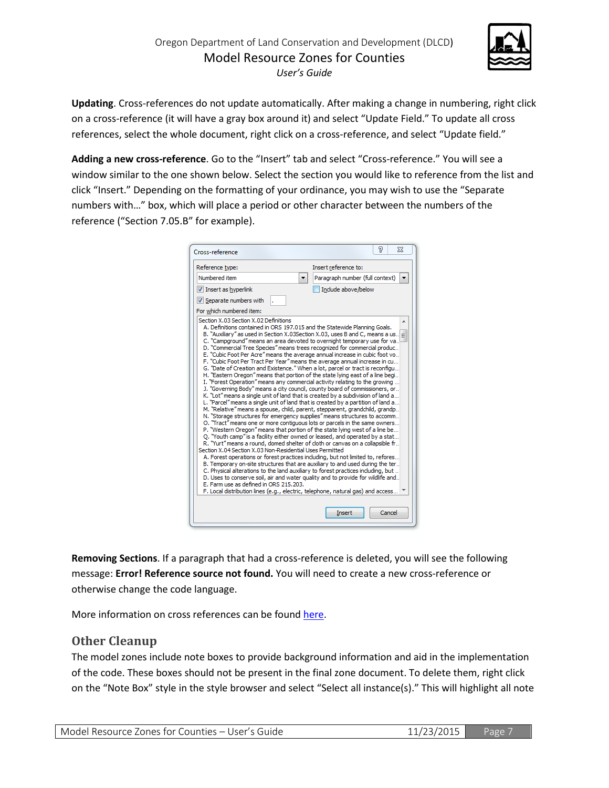

**Updating**. Cross-references do not update automatically. After making a change in numbering, right click on a cross-reference (it will have a gray box around it) and select "Update Field." To update all cross references, select the whole document, right click on a cross-reference, and select "Update field."

**Adding a new cross-reference**. Go to the "Insert" tab and select "Cross-reference." You will see a window similar to the one shown below. Select the section you would like to reference from the list and click "Insert." Depending on the formatting of your ordinance, you may wish to use the "Separate numbers with…" box, which will place a period or other character between the numbers of the reference ("Section 7.05.B" for example).

| Reference type:                                                                                     | Insert reference to:                                                                                                                                                                                                                                                                                                                                                                                                                                                                                                                                                                                                                                                                                                                                                                                                                                                                                                                                                                                                                                                                                                                                                                                                                                                                                                                                                                                                                                                                                                                                                                                                                                                                                                                                                  |
|-----------------------------------------------------------------------------------------------------|-----------------------------------------------------------------------------------------------------------------------------------------------------------------------------------------------------------------------------------------------------------------------------------------------------------------------------------------------------------------------------------------------------------------------------------------------------------------------------------------------------------------------------------------------------------------------------------------------------------------------------------------------------------------------------------------------------------------------------------------------------------------------------------------------------------------------------------------------------------------------------------------------------------------------------------------------------------------------------------------------------------------------------------------------------------------------------------------------------------------------------------------------------------------------------------------------------------------------------------------------------------------------------------------------------------------------------------------------------------------------------------------------------------------------------------------------------------------------------------------------------------------------------------------------------------------------------------------------------------------------------------------------------------------------------------------------------------------------------------------------------------------------|
| Numbered item                                                                                       | Paragraph number (full context)                                                                                                                                                                                                                                                                                                                                                                                                                                                                                                                                                                                                                                                                                                                                                                                                                                                                                                                                                                                                                                                                                                                                                                                                                                                                                                                                                                                                                                                                                                                                                                                                                                                                                                                                       |
| V Insert as hyperlink                                                                               | Include above/below                                                                                                                                                                                                                                                                                                                                                                                                                                                                                                                                                                                                                                                                                                                                                                                                                                                                                                                                                                                                                                                                                                                                                                                                                                                                                                                                                                                                                                                                                                                                                                                                                                                                                                                                                   |
| V Separate numbers with                                                                             |                                                                                                                                                                                                                                                                                                                                                                                                                                                                                                                                                                                                                                                                                                                                                                                                                                                                                                                                                                                                                                                                                                                                                                                                                                                                                                                                                                                                                                                                                                                                                                                                                                                                                                                                                                       |
| For which numbered item:                                                                            |                                                                                                                                                                                                                                                                                                                                                                                                                                                                                                                                                                                                                                                                                                                                                                                                                                                                                                                                                                                                                                                                                                                                                                                                                                                                                                                                                                                                                                                                                                                                                                                                                                                                                                                                                                       |
| Section X.04 Section X.03 Non-Residential Uses Permitted<br>E. Farm use as defined in ORS 215, 203. | C. "Campground" means an area devoted to overnight temporary use for va.<br>D. "Commercial Tree Species" means trees recognized for commercial produc<br>E. "Cubic Foot Per Acre" means the average annual increase in cubic foot vo<br>F. "Cubic Foot Per Tract Per Year" means the average annual increase in cu<br>G. "Date of Creation and Existence." When a lot, parcel or tract is reconfigu<br>H. "Eastern Oregon" means that portion of the state lying east of a line begi<br>I. "Forest Operation" means any commercial activity relating to the growing<br>J. "Governing Body" means a city council, county board of commissioners, or<br>K. "Lot" means a single unit of land that is created by a subdivision of land a<br>L. "Parcel" means a single unit of land that is created by a partition of land a<br>M. "Relative" means a spouse, child, parent, stepparent, grandchild, grandp<br>N. "Storage structures for emergency supplies" means structures to accomm<br>O. "Tract" means one or more contiguous lots or parcels in the same owners<br>P. "Western Oregon" means that portion of the state Iving west of a line be<br>O. "Youth camp" is a facility either owned or leased, and operated by a stat<br>R. "Yurt" means a round, domed shelter of cloth or canvas on a collapsible fr<br>A. Forest operations or forest practices including, but not limited to, refores<br>B. Temporary on-site structures that are auxiliary to and used during the ter<br>C. Physical alterations to the land auxiliary to forest practices including, but<br>D. Uses to conserve soil, air and water quality and to provide for wildlife and<br>F. Local distribution lines (e.g., electric, telephone, natural gas) and access<br>Cancel<br>Insert |

**Removing Sections**. If a paragraph that had a cross-reference is deleted, you will see the following message: **Error! Reference source not found.** You will need to create a new cross-reference or otherwise change the code language.

More information on cross references can be found [here.](https://support.office.com/en-us/article/Create-or-update-a-cross-reference-aa35c606-34e8-4c64-b6eb-c6321d190645)

### **Other Cleanup**

The model zones include note boxes to provide background information and aid in the implementation of the code. These boxes should not be present in the final zone document. To delete them, right click on the "Note Box" style in the style browser and select "Select all instance(s)." This will highlight all note